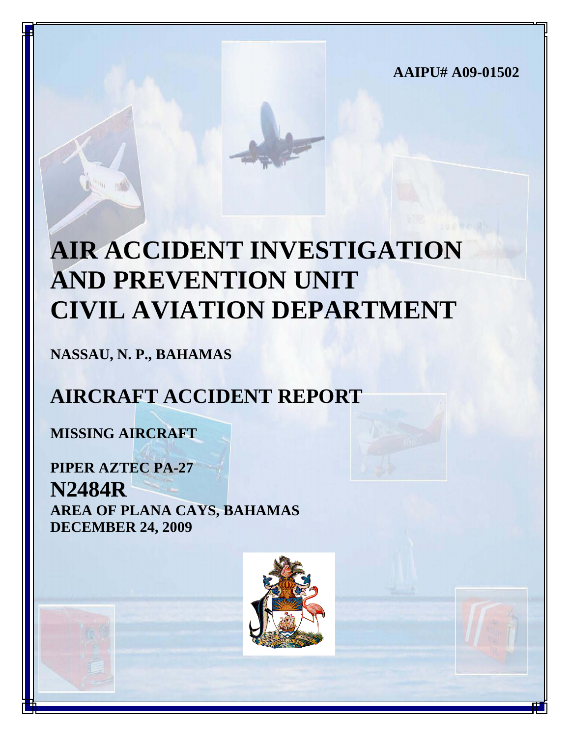**AAIPU# A09-01502**

# **AIR ACCIDENT INVESTIGATION AND PREVENTION UNIT CIVIL AVIATION DEPARTMENT**

**NASSAU, N. P., BAHAMAS**

## **AIRCRAFT ACCIDENT REPORT**

**MISSING AIRCRAFT**

**PIPER AZTEC PA-27 N2484R AREA OF PLANA CAYS, BAHAMAS DECEMBER 24, 2009**

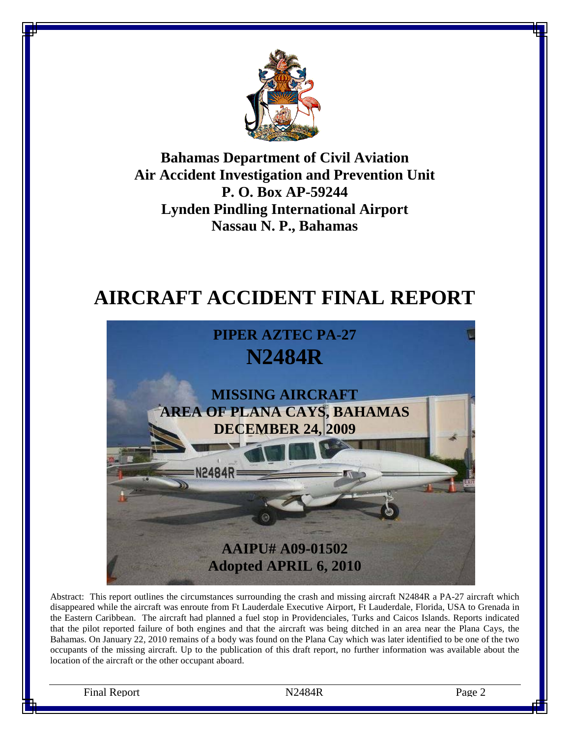

**Bahamas Department of Civil Aviation Air Accident Investigation and Prevention Unit P. O. Box AP-59244 Lynden Pindling International Airport Nassau N. P., Bahamas**

## **AIRCRAFT ACCIDENT FINAL REPORT**



Abstract: This report outlines the circumstances surrounding the crash and missing aircraft N2484R a PA-27 aircraft which disappeared while the aircraft was enroute from Ft Lauderdale Executive Airport, Ft Lauderdale, Florida, USA to Grenada in the Eastern Caribbean. The aircraft had planned a fuel stop in Providenciales, Turks and Caicos Islands. Reports indicated that the pilot reported failure of both engines and that the aircraft was being ditched in an area near the Plana Cays, the Bahamas. On January 22, 2010 remains of a body was found on the Plana Cay which was later identified to be one of the two occupants of the missing aircraft. Up to the publication of this draft report, no further information was available about the location of the aircraft or the other occupant aboard.

Final Report **Page 2 Page 2 Page 2 Page 2 Page 2**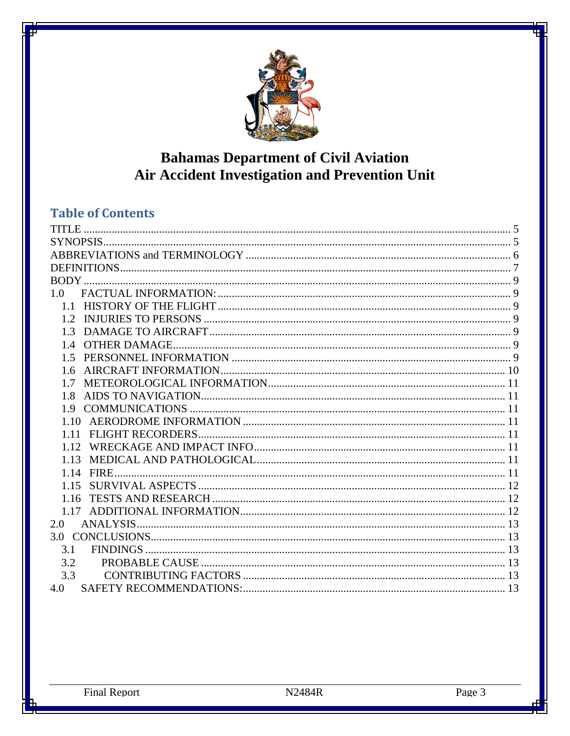

## **Bahamas Department of Civil Aviation** Air Accident Investigation and Prevention Unit

### **Table of Contents**

| 1.0   |  |
|-------|--|
|       |  |
|       |  |
|       |  |
|       |  |
|       |  |
|       |  |
| 17    |  |
| 1.8   |  |
| 19    |  |
| 1 1 0 |  |
| 1.11  |  |
| 1 1 2 |  |
| 1.13  |  |
| 1.14  |  |
|       |  |
| 1.16  |  |
|       |  |
| 2.0   |  |
|       |  |
| 3.1   |  |
| 3.2   |  |
| 3.3   |  |
| 4.0   |  |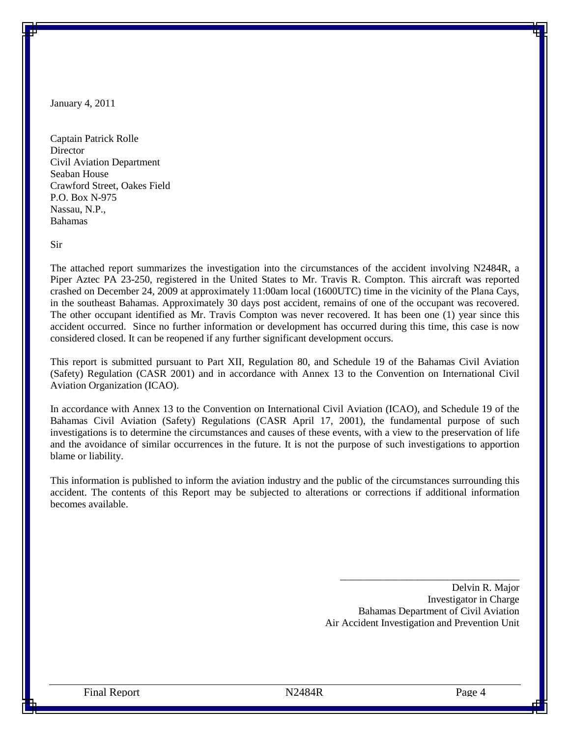January 4, 2011

Captain Patrick Rolle **Director** Civil Aviation Department Seaban House Crawford Street, Oakes Field P.O. Box N-975 Nassau, N.P., Bahamas

Sir

The attached report summarizes the investigation into the circumstances of the accident involving N2484R, a Piper Aztec PA 23-250, registered in the United States to Mr. Travis R. Compton. This aircraft was reported crashed on December 24, 2009 at approximately 11:00am local (1600UTC) time in the vicinity of the Plana Cays, in the southeast Bahamas. Approximately 30 days post accident, remains of one of the occupant was recovered. The other occupant identified as Mr. Travis Compton was never recovered. It has been one (1) year since this accident occurred. Since no further information or development has occurred during this time, this case is now considered closed. It can be reopened if any further significant development occurs.

This report is submitted pursuant to Part XII, Regulation 80, and Schedule 19 of the Bahamas Civil Aviation (Safety) Regulation (CASR 2001) and in accordance with Annex 13 to the Convention on International Civil Aviation Organization (ICAO).

In accordance with Annex 13 to the Convention on International Civil Aviation (ICAO), and Schedule 19 of the Bahamas Civil Aviation (Safety) Regulations (CASR April 17, 2001), the fundamental purpose of such investigations is to determine the circumstances and causes of these events, with a view to the preservation of life and the avoidance of similar occurrences in the future. It is not the purpose of such investigations to apportion blame or liability.

This information is published to inform the aviation industry and the public of the circumstances surrounding this accident. The contents of this Report may be subjected to alterations or corrections if additional information becomes available.

> Delvin R. Major Investigator in Charge Bahamas Department of Civil Aviation Air Accident Investigation and Prevention Unit

\_\_\_\_\_\_\_\_\_\_\_\_\_\_\_\_\_\_\_\_\_\_\_\_\_\_\_\_\_\_\_\_\_\_\_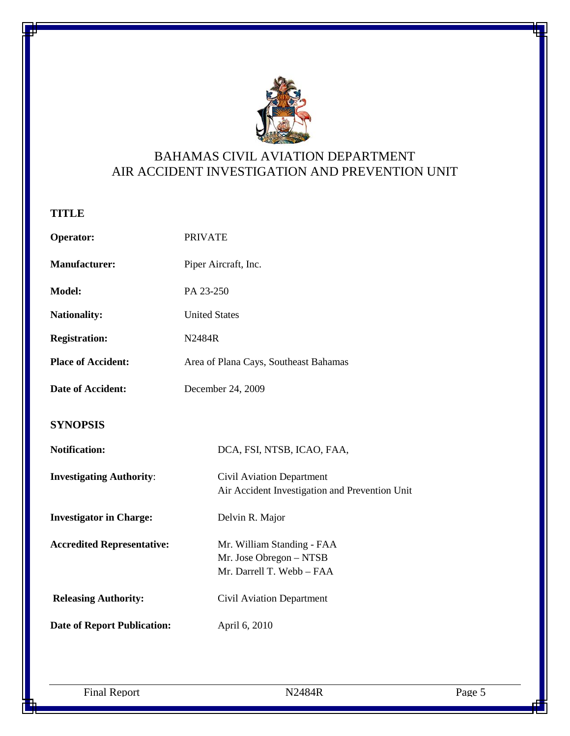

### BAHAMAS CIVIL AVIATION DEPARTMENT AIR ACCIDENT INVESTIGATION AND PREVENTION UNIT

#### <span id="page-4-0"></span>**TITLE**

<span id="page-4-1"></span>

| Operator:                          | <b>PRIVATE</b>                                                                     |  |  |
|------------------------------------|------------------------------------------------------------------------------------|--|--|
| <b>Manufacturer:</b>               | Piper Aircraft, Inc.                                                               |  |  |
| Model:                             | PA 23-250                                                                          |  |  |
| <b>Nationality:</b>                | <b>United States</b>                                                               |  |  |
| <b>Registration:</b>               | N2484R                                                                             |  |  |
| <b>Place of Accident:</b>          | Area of Plana Cays, Southeast Bahamas                                              |  |  |
| Date of Accident:                  | December 24, 2009                                                                  |  |  |
| <b>SYNOPSIS</b>                    |                                                                                    |  |  |
| <b>Notification:</b>               | DCA, FSI, NTSB, ICAO, FAA,                                                         |  |  |
| <b>Investigating Authority:</b>    | Civil Aviation Department<br>Air Accident Investigation and Prevention Unit        |  |  |
| <b>Investigator in Charge:</b>     | Delvin R. Major                                                                    |  |  |
| <b>Accredited Representative:</b>  | Mr. William Standing - FAA<br>Mr. Jose Obregon - NTSB<br>Mr. Darrell T. Webb - FAA |  |  |
| <b>Releasing Authority:</b>        | <b>Civil Aviation Department</b>                                                   |  |  |
| <b>Date of Report Publication:</b> | April 6, 2010                                                                      |  |  |

Final Report N2484R Page 5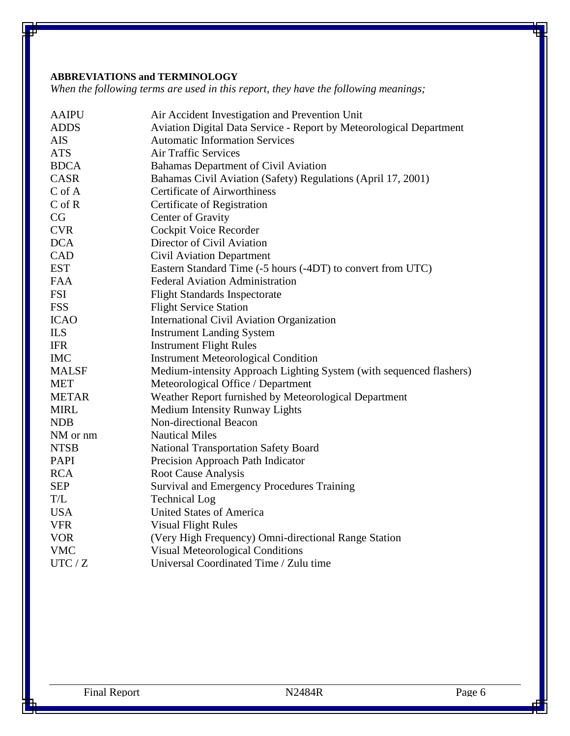#### <span id="page-5-0"></span>**ABBREVIATIONS and TERMINOLOGY**

*When the following terms are used in this report, they have the following meanings;*

| <b>AAIPU</b> | Air Accident Investigation and Prevention Unit                      |  |  |
|--------------|---------------------------------------------------------------------|--|--|
| <b>ADDS</b>  | Aviation Digital Data Service - Report by Meteorological Department |  |  |
| <b>AIS</b>   | <b>Automatic Information Services</b>                               |  |  |
| <b>ATS</b>   | <b>Air Traffic Services</b>                                         |  |  |
| <b>BDCA</b>  | Bahamas Department of Civil Aviation                                |  |  |
| <b>CASR</b>  | Bahamas Civil Aviation (Safety) Regulations (April 17, 2001)        |  |  |
| $C$ of $A$   | <b>Certificate of Airworthiness</b>                                 |  |  |
| $C$ of $R$   | Certificate of Registration                                         |  |  |
| CG           | Center of Gravity                                                   |  |  |
| <b>CVR</b>   | Cockpit Voice Recorder                                              |  |  |
| <b>DCA</b>   | Director of Civil Aviation                                          |  |  |
| CAD          | <b>Civil Aviation Department</b>                                    |  |  |
| <b>EST</b>   | Eastern Standard Time (-5 hours (-4DT) to convert from UTC)         |  |  |
| <b>FAA</b>   | <b>Federal Aviation Administration</b>                              |  |  |
| <b>FSI</b>   | <b>Flight Standards Inspectorate</b>                                |  |  |
| <b>FSS</b>   | <b>Flight Service Station</b>                                       |  |  |
| <b>ICAO</b>  | International Civil Aviation Organization                           |  |  |
| <b>ILS</b>   | <b>Instrument Landing System</b>                                    |  |  |
| <b>IFR</b>   | <b>Instrument Flight Rules</b>                                      |  |  |
| <b>IMC</b>   | <b>Instrument Meteorological Condition</b>                          |  |  |
| <b>MALSF</b> | Medium-intensity Approach Lighting System (with sequenced flashers) |  |  |
| <b>MET</b>   | Meteorological Office / Department                                  |  |  |
| <b>METAR</b> | Weather Report furnished by Meteorological Department               |  |  |
| <b>MIRL</b>  | Medium Intensity Runway Lights                                      |  |  |
| <b>NDB</b>   | Non-directional Beacon                                              |  |  |
| NM or nm     | <b>Nautical Miles</b>                                               |  |  |
| <b>NTSB</b>  | <b>National Transportation Safety Board</b>                         |  |  |
| <b>PAPI</b>  | Precision Approach Path Indicator                                   |  |  |
| <b>RCA</b>   | <b>Root Cause Analysis</b>                                          |  |  |
| <b>SEP</b>   | Survival and Emergency Procedures Training                          |  |  |
| T/L          | <b>Technical Log</b>                                                |  |  |
| <b>USA</b>   | <b>United States of America</b>                                     |  |  |
| <b>VFR</b>   | <b>Visual Flight Rules</b>                                          |  |  |
| <b>VOR</b>   | (Very High Frequency) Omni-directional Range Station                |  |  |
| <b>VMC</b>   | <b>Visual Meteorological Conditions</b>                             |  |  |
| UTC / Z      | Universal Coordinated Time / Zulu time                              |  |  |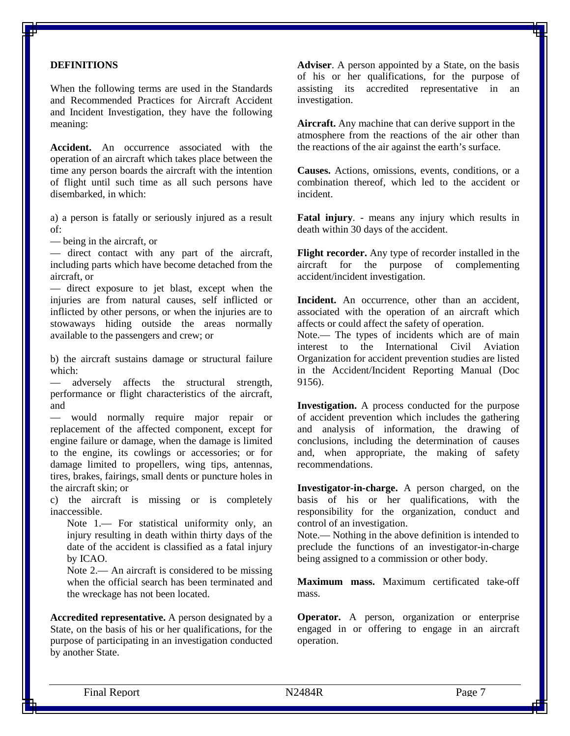#### <span id="page-6-0"></span>**DEFINITIONS**

When the following terms are used in the Standards and Recommended Practices for Aircraft Accident and Incident Investigation, they have the following meaning:

**Accident.** An occurrence associated with the operation of an aircraft which takes place between the time any person boards the aircraft with the intention of flight until such time as all such persons have disembarked, in which:

a) a person is fatally or seriously injured as a result of:

— being in the aircraft, or

— direct contact with any part of the aircraft, including parts which have become detached from the aircraft, or

— direct exposure to jet blast, except when the injuries are from natural causes, self inflicted or inflicted by other persons, or when the injuries are to stowaways hiding outside the areas normally available to the passengers and crew; or

b) the aircraft sustains damage or structural failure which:

— adversely affects the structural strength, performance or flight characteristics of the aircraft, and

— would normally require major repair or replacement of the affected component, except for engine failure or damage, when the damage is limited to the engine, its cowlings or accessories; or for damage limited to propellers, wing tips, antennas, tires, brakes, fairings, small dents or puncture holes in the aircraft skin; or

c) the aircraft is missing or is completely inaccessible.

Note 1.— For statistical uniformity only, an injury resulting in death within thirty days of the date of the accident is classified as a fatal injury by ICAO.

Note 2.— An aircraft is considered to be missing when the official search has been terminated and the wreckage has not been located.

**Accredited representative.** A person designated by a State, on the basis of his or her qualifications, for the purpose of participating in an investigation conducted by another State.

**Adviser**. A person appointed by a State, on the basis of his or her qualifications, for the purpose of assisting its accredited representative in an investigation.

**Aircraft.** Any machine that can derive support in the atmosphere from the reactions of the air other than the reactions of the air against the earth's surface.

**Causes.** Actions, omissions, events, conditions, or a combination thereof, which led to the accident or incident.

**Fatal injury**. - means any injury which results in death within 30 days of the accident.

**Flight recorder.** Any type of recorder installed in the aircraft for the purpose of complementing accident/incident investigation.

Incident. An occurrence, other than an accident, associated with the operation of an aircraft which affects or could affect the safety of operation.

Note.— The types of incidents which are of main interest to the International Civil Aviation Organization for accident prevention studies are listed in the Accident/Incident Reporting Manual (Doc 9156).

**Investigation.** A process conducted for the purpose of accident prevention which includes the gathering and analysis of information, the drawing of conclusions, including the determination of causes and, when appropriate, the making of safety recommendations.

**Investigator-in-charge.** A person charged, on the basis of his or her qualifications, with the responsibility for the organization, conduct and control of an investigation.

Note.— Nothing in the above definition is intended to preclude the functions of an investigator-in-charge being assigned to a commission or other body.

**Maximum mass.** Maximum certificated take-off mass.

**Operator.** A person, organization or enterprise engaged in or offering to engage in an aircraft operation.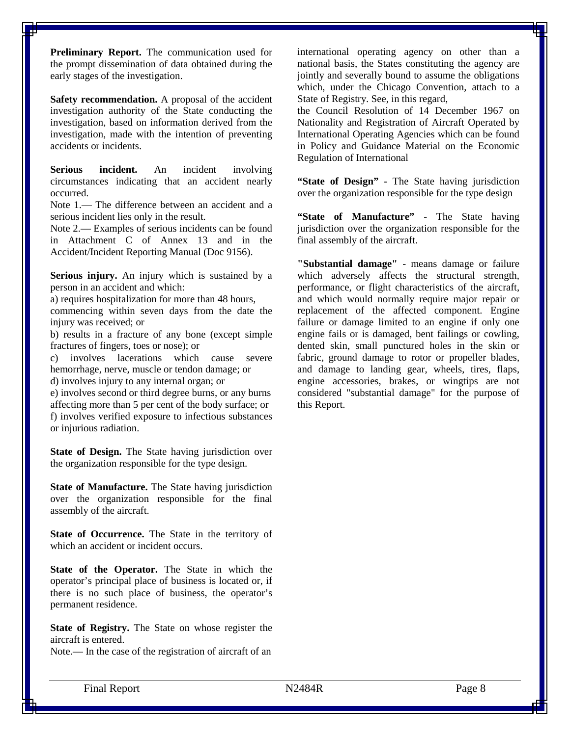**Preliminary Report.** The communication used for the prompt dissemination of data obtained during the early stages of the investigation.

**Safety recommendation.** A proposal of the accident investigation authority of the State conducting the investigation, based on information derived from the investigation, made with the intention of preventing accidents or incidents.

**Serious incident.** An incident involving circumstances indicating that an accident nearly occurred.

Note 1.— The difference between an accident and a serious incident lies only in the result.

Note 2.— Examples of serious incidents can be found in Attachment C of Annex 13 and in the Accident/Incident Reporting Manual (Doc 9156).

**Serious injury.** An injury which is sustained by a person in an accident and which:

a) requires hospitalization for more than 48 hours,

commencing within seven days from the date the injury was received; or

b) results in a fracture of any bone (except simple fractures of fingers, toes or nose); or

c) involves lacerations which cause severe hemorrhage, nerve, muscle or tendon damage; or d) involves injury to any internal organ; or

e) involves second or third degree burns, or any burns affecting more than 5 per cent of the body surface; or f) involves verified exposure to infectious substances or injurious radiation.

**State of Design.** The State having jurisdiction over the organization responsible for the type design.

**State of Manufacture.** The State having jurisdiction over the organization responsible for the final assembly of the aircraft.

**State of Occurrence.** The State in the territory of which an accident or incident occurs.

**State of the Operator.** The State in which the operator's principal place of business is located or, if there is no such place of business, the operator's permanent residence.

**State of Registry.** The State on whose register the aircraft is entered.

Note.— In the case of the registration of aircraft of an

international operating agency on other than a national basis, the States constituting the agency are jointly and severally bound to assume the obligations which, under the Chicago Convention, attach to a State of Registry. See, in this regard,

the Council Resolution of 14 December 1967 on Nationality and Registration of Aircraft Operated by International Operating Agencies which can be found in Policy and Guidance Material on the Economic Regulation of International

**"State of Design"** - The State having jurisdiction over the organization responsible for the type design

**"State of Manufacture"** - The State having jurisdiction over the organization responsible for the final assembly of the aircraft.

**"Substantial damage"** - means damage or failure which adversely affects the structural strength, performance, or flight characteristics of the aircraft, and which would normally require major repair or replacement of the affected component. Engine failure or damage limited to an engine if only one engine fails or is damaged, bent failings or cowling, dented skin, small punctured holes in the skin or fabric, ground damage to rotor or propeller blades, and damage to landing gear, wheels, tires, flaps, engine accessories, brakes, or wingtips are not considered "substantial damage" for the purpose of this Report.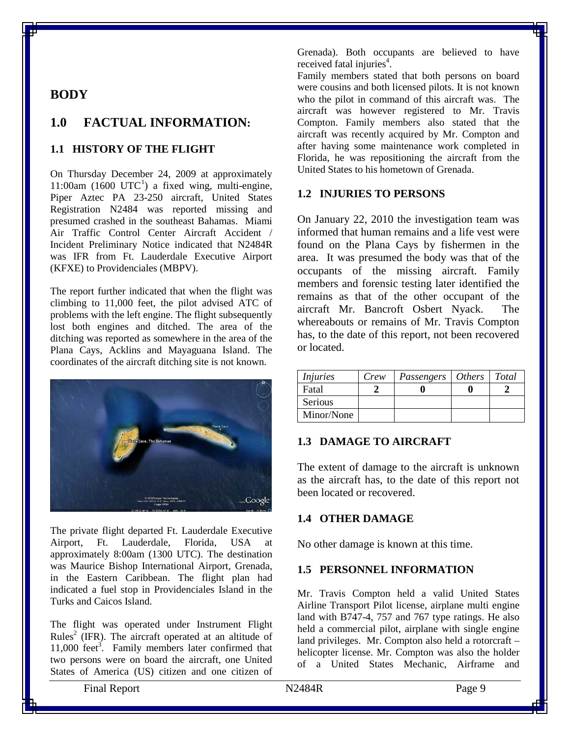#### <span id="page-8-0"></span>**BODY**

#### <span id="page-8-1"></span>**1.0 FACTUAL INFORMATION:**

#### <span id="page-8-2"></span>**1.1 HISTORY OF THE FLIGHT**

On Thursday December 24, 2009 at approximately [1](#page-11-3)1:00am (1600  $UTC^1$ ) a fixed wing, multi-engine, Piper Aztec PA 23-250 aircraft, United States Registration N2484 was reported missing and presumed crashed in the southeast Bahamas. Miami Air Traffic Control Center Aircraft Accident / Incident Preliminary Notice indicated that N2484R was IFR from Ft. Lauderdale Executive Airport (KFXE) to Providenciales (MBPV).

The report further indicated that when the flight was climbing to 11,000 feet, the pilot advised ATC of problems with the left engine. The flight subsequently lost both engines and ditched. The area of the ditching was reported as somewhere in the area of the Plana Cays, Acklins and Mayaguana Island. The coordinates of the aircraft ditching site is not known.



The private flight departed Ft. Lauderdale Executive Airport, Ft. Lauderdale, Florida, USA at approximately 8:00am (1300 UTC). The destination was Maurice Bishop International Airport, Grenada, in the Eastern Caribbean. The flight plan had indicated a fuel stop in Providenciales Island in the Turks and Caicos Island.

The flight was operated under Instrument Flight Rules<sup>2</sup> (IFR). The aircraft operated at an altitude of  $11,000$  feet<sup>3</sup>. Family members later confirmed that two persons were on board the aircraft, one United States of America (US) citizen and one citizen of

Grenada). Both occupants are believed to have received fatal injuries<sup>4</sup>.

Family members stated that both persons on board were cousins and both licensed pilots. It is not known who the pilot in command of this aircraft was. The aircraft was however registered to Mr. Travis Compton. Family members also stated that the aircraft was recently acquired by Mr. Compton and after having some maintenance work completed in Florida, he was repositioning the aircraft from the United States to his hometown of Grenada.

#### <span id="page-8-3"></span>**1.2 INJURIES TO PERSONS**

On January 22, 2010 the investigation team was informed that human remains and a life vest were found on the Plana Cays by fishermen in the area. It was presumed the body was that of the occupants of the missing aircraft. Family members and forensic testing later identified the remains as that of the other occupant of the aircraft Mr. Bancroft Osbert Nyack. The whereabouts or remains of Mr. Travis Compton has, to the date of this report, not been recovered or located.

| <i>Injuries</i> | Crew | Passengers   Others   Total |  |
|-----------------|------|-----------------------------|--|
| Fatal           |      |                             |  |
| Serious         |      |                             |  |
| Minor/None      |      |                             |  |

#### <span id="page-8-4"></span>**1.3 DAMAGE TO AIRCRAFT**

The extent of damage to the aircraft is unknown as the aircraft has, to the date of this report not been located or recovered.

#### <span id="page-8-5"></span>**1.4 OTHER DAMAGE**

No other damage is known at this time.

#### <span id="page-8-6"></span>**1.5 PERSONNEL INFORMATION**

Mr. Travis Compton held a valid United States Airline Transport Pilot license, airplane multi engine land with B747-4, 757 and 767 type ratings. He also held a commercial pilot, airplane with single engine land privileges. Mr. Compton also held a rotorcraft – helicopter license. Mr. Compton was also the holder of a United States Mechanic, Airframe and

Final Report **N2484R** Page 9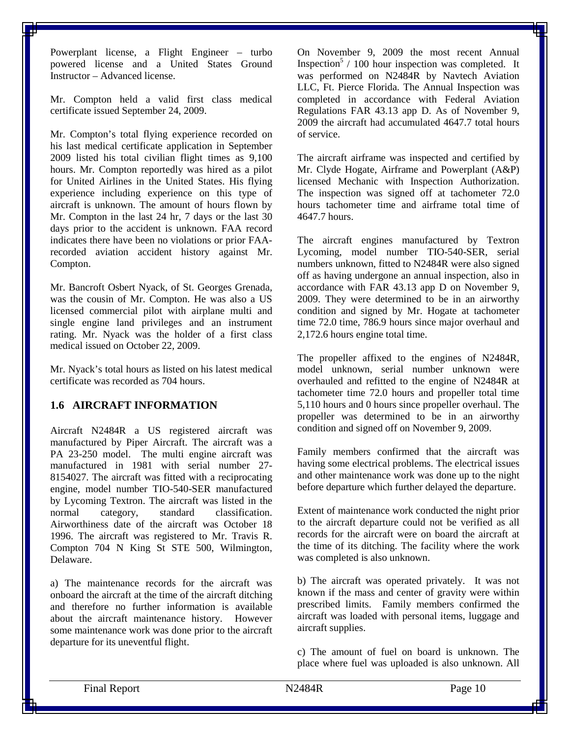Powerplant license, a Flight Engineer – turbo powered license and a United States Ground Instructor – Advanced license.

Mr. Compton held a valid first class medical certificate issued September 24, 2009.

Mr. Compton's total flying experience recorded on his last medical certificate application in September 2009 listed his total civilian flight times as 9,100 hours. Mr. Compton reportedly was hired as a pilot for United Airlines in the United States. His flying experience including experience on this type of aircraft is unknown. The amount of hours flown by Mr. Compton in the last 24 hr, 7 days or the last 30 days prior to the accident is unknown. FAA record indicates there have been no violations or prior FAArecorded aviation accident history against Mr. Compton.

Mr. Bancroft Osbert Nyack, of St. Georges Grenada, was the cousin of Mr. Compton. He was also a US licensed commercial pilot with airplane multi and single engine land privileges and an instrument rating. Mr. Nyack was the holder of a first class medical issued on October 22, 2009.

Mr. Nyack's total hours as listed on his latest medical certificate was recorded as 704 hours.

#### <span id="page-9-0"></span>**1.6 AIRCRAFT INFORMATION**

Aircraft N2484R a US registered aircraft was manufactured by Piper Aircraft. The aircraft was a PA 23-250 model. The multi engine aircraft was manufactured in 1981 with serial number 27- 8154027. The aircraft was fitted with a reciprocating engine, model number TIO-540-SER manufactured by Lycoming Textron. The aircraft was listed in the normal category. standard classification. normal category, standard classification. Airworthiness date of the aircraft was October 18 1996. The aircraft was registered to Mr. Travis R. Compton 704 N King St STE 500, Wilmington, Delaware.

a) The maintenance records for the aircraft was onboard the aircraft at the time of the aircraft ditching and therefore no further information is available about the aircraft maintenance history. However some maintenance work was done prior to the aircraft departure for its uneventful flight.

On November 9, 2009 the most recent Annual Inspection<sup>5</sup> / 100 hour inspection was completed. It was performed on N2484R by Navtech Aviation LLC, Ft. Pierce Florida. The Annual Inspection was completed in accordance with Federal Aviation Regulations FAR 43.13 app D. As of November 9, 2009 the aircraft had accumulated 4647.7 total hours of service.

The aircraft airframe was inspected and certified by Mr. Clyde Hogate, Airframe and Powerplant (A&P) licensed Mechanic with Inspection Authorization. The inspection was signed off at tachometer 72.0 hours tachometer time and airframe total time of 4647.7 hours.

The aircraft engines manufactured by Textron Lycoming, model number TIO-540-SER, serial numbers unknown, fitted to N2484R were also signed off as having undergone an annual inspection, also in accordance with FAR 43.13 app D on November 9, 2009. They were determined to be in an airworthy condition and signed by Mr. Hogate at tachometer time 72.0 time, 786.9 hours since major overhaul and 2,172.6 hours engine total time.

The propeller affixed to the engines of N2484R, model unknown, serial number unknown were overhauled and refitted to the engine of N2484R at tachometer time 72.0 hours and propeller total time 5,110 hours and 0 hours since propeller overhaul. The propeller was determined to be in an airworthy condition and signed off on November 9, 2009.

Family members confirmed that the aircraft was having some electrical problems. The electrical issues and other maintenance work was done up to the night before departure which further delayed the departure.

Extent of maintenance work conducted the night prior to the aircraft departure could not be verified as all records for the aircraft were on board the aircraft at the time of its ditching. The facility where the work was completed is also unknown.

b) The aircraft was operated privately. It was not known if the mass and center of gravity were within prescribed limits. Family members confirmed the aircraft was loaded with personal items, luggage and aircraft supplies.

c) The amount of fuel on board is unknown. The place where fuel was uploaded is also unknown. All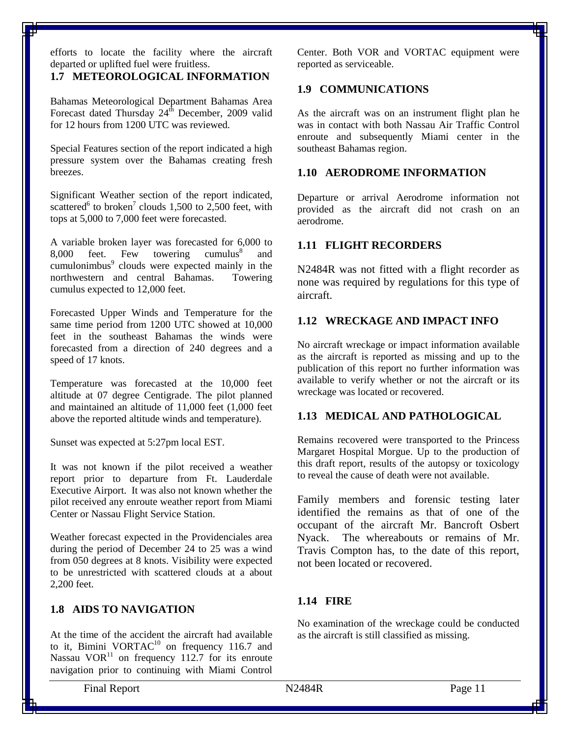efforts to locate the facility where the aircraft departed or uplifted fuel were fruitless.

#### <span id="page-10-0"></span>**1.7 METEOROLOGICAL INFORMATION**

Bahamas Meteorological Department Bahamas Area Forecast dated Thursday 24<sup>th</sup> December, 2009 valid for 12 hours from 1200 UTC was reviewed.

Special Features section of the report indicated a high pressure system over the Bahamas creating fresh breezes.

Significant Weather section of the report indicated, scattered<sup>6</sup> to broken<sup>7</sup> clouds 1,500 to 2,500 feet, with tops at 5,000 to 7,000 feet were forecasted.

A variable broken layer was forecasted for 6,000 to<br>8,000 feet. Few towering cumulus<sup>8</sup> and 8,000 feet. Few towering cumulus $\delta$  and cumulonimbus<sup>9</sup> clouds were expected mainly in the northwestern and central Bahamas. Towering cumulus expected to 12,000 feet.

Forecasted Upper Winds and Temperature for the same time period from 1200 UTC showed at 10,000 feet in the southeast Bahamas the winds were forecasted from a direction of 240 degrees and a speed of 17 knots.

Temperature was forecasted at the 10,000 feet altitude at 07 degree Centigrade. The pilot planned and maintained an altitude of 11,000 feet (1,000 feet above the reported altitude winds and temperature).

Sunset was expected at 5:27pm local EST.

It was not known if the pilot received a weather report prior to departure from Ft. Lauderdale Executive Airport. It was also not known whether the pilot received any enroute weather report from Miami Center or Nassau Flight Service Station.

Weather forecast expected in the Providenciales area during the period of December 24 to 25 was a wind from 050 degrees at 8 knots. Visibility were expected to be unrestricted with scattered clouds at a about 2,200 feet.

#### <span id="page-10-1"></span>**1.8 AIDS TO NAVIGATION**

At the time of the accident the aircraft had available to it, Bimini VORTAC $10$  on frequency 116.7 and Nassau  $VOR<sup>11</sup>$  on frequency 112.7 for its enroute navigation prior to continuing with Miami Control

Center. Both VOR and VORTAC equipment were reported as serviceable.

#### <span id="page-10-2"></span>**1.9 COMMUNICATIONS**

As the aircraft was on an instrument flight plan he was in contact with both Nassau Air Traffic Control enroute and subsequently Miami center in the southeast Bahamas region.

#### <span id="page-10-3"></span>**1.10 AERODROME INFORMATION**

Departure or arrival Aerodrome information not provided as the aircraft did not crash on an aerodrome.

#### <span id="page-10-4"></span>**1.11 FLIGHT RECORDERS**

N2484R was not fitted with a flight recorder as none was required by regulations for this type of aircraft.

#### <span id="page-10-5"></span>**1.12 WRECKAGE AND IMPACT INFO**

No aircraft wreckage or impact information available as the aircraft is reported as missing and up to the publication of this report no further information was available to verify whether or not the aircraft or its wreckage was located or recovered.

#### <span id="page-10-6"></span>**1.13 MEDICAL AND PATHOLOGICAL**

Remains recovered were transported to the Princess Margaret Hospital Morgue. Up to the production of this draft report, results of the autopsy or toxicology to reveal the cause of death were not available.

Family members and forensic testing later identified the remains as that of one of the occupant of the aircraft Mr. Bancroft Osbert Nyack. The whereabouts or remains of Mr. Travis Compton has, to the date of this report, not been located or recovered.

#### <span id="page-10-7"></span>**1.14 FIRE**

No examination of the wreckage could be conducted as the aircraft is still classified as missing.

Final Report N2484R Page 11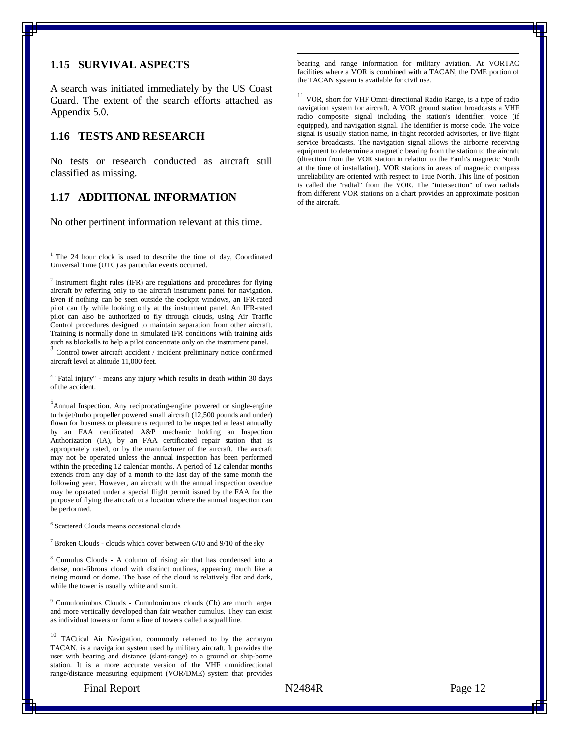#### <span id="page-11-0"></span>**1.15 SURVIVAL ASPECTS**

A search was initiated immediately by the US Coast Guard. The extent of the search efforts attached as Appendix 5.0.

#### <span id="page-11-1"></span>**1.16 TESTS AND RESEARCH**

No tests or research conducted as aircraft still classified as missing.

#### <span id="page-11-2"></span>**1.17 ADDITIONAL INFORMATION**

No other pertinent information relevant at this time.

<sup>2</sup> Instrument flight rules (IFR) are regulations and procedures for flying [aircraft](http://en.wikipedia.org/wiki/Aircraft) by referring only to the aircraft instrument panel for navigation. Even if nothing can be seen outside the cockpit windows, an IFR-rated pilot can fly while looking only at the instrument panel. An IFR-rated pilot can also be authorized to fly through [clouds,](http://en.wikipedia.org/wiki/Cloud) using [Air Traffic](http://en.wikipedia.org/wiki/Air_Traffic_Control)  [Control](http://en.wikipedia.org/wiki/Air_Traffic_Control) procedures designed to maintain separation from other aircraft. Training is normally done in simulated IFR conditions with training aids such as blockalls to help a pilot concentrate only on the instrument panel. <sup>3</sup> Control tower aircraft accident / incident preliminary notice confirmed aircraft level at altitude 11,000 feet.

<sup>4</sup> "Fatal injury" - means any injury which results in death within 30 days of the accident.

<sup>5</sup> Annual Inspection. Any reciprocating-engine powered or single-engine turbojet/turbo propeller powered small aircraft (12,500 pounds and under) flown for business or pleasure is required to be inspected at least annually by an FAA certificated A&P mechanic holding an Inspection Authorization (IA), by an FAA certificated repair station that is appropriately rated, or by the manufacturer of the aircraft. The aircraft may not be operated unless the annual inspection has been performed within the preceding 12 calendar months. A period of 12 calendar months extends from any day of a month to the last day of the same month the following year. However, an aircraft with the annual inspection overdue may be operated under a special flight permit issued by the FAA for the purpose of flying the aircraft to a location where the annual inspection can be performed.

<sup>6</sup> Scattered Clouds means occasional clouds

 $7$  Broken Clouds - clouds which cover between 6/10 and 9/10 of the sky

<sup>8</sup> Cumulus Clouds - A column of rising [air](http://en.mimi.hu/meteorology/air.html) that has condensed into a dense, non-fibrous [cloud](http://en.mimi.hu/meteorology/cloud.html) with distinct outlines, appearing much like a rising mound or dome. The base of the [cloud](http://en.mimi.hu/meteorology/cloud.html) is relatively flat and dark, while th[e tower](http://en.mimi.hu/meteorology/tower.html) is usually white and sunlit.

<sup>9</sup> Cumulonimbus Clouds - Cumulonimbus clouds (Cb) are much larger and more vertically developed tha[n fair](http://en.mimi.hu/meteorology/fair.html) [weather](http://en.mimi.hu/meteorology/weather.html) [cumulus.](http://en.mimi.hu/meteorology/cumulus.html) They can exist as individua[l towers](http://en.mimi.hu/meteorology/tower.html) or form a line of [towers](http://en.mimi.hu/meteorology/tower.html) called a [squall line.](http://en.mimi.hu/meteorology/squall_line.html)

TACtical Air Navigation, commonly referred to by the [acronym](http://en.wikipedia.org/wiki/Acronym) TACAN, is a [navigation](http://en.wikipedia.org/wiki/Navigation) system used by military aircraft. It provides the user with bearing and distance (slant-range) to a ground or ship-borne station. It is a more accurate version of the [VHF omnidirectional](http://en.wikipedia.org/wiki/VHF_omnidirectional_range)  [range/](http://en.wikipedia.org/wiki/VHF_omnidirectional_range)[distance measuring equipment](http://en.wikipedia.org/wiki/Distance_measuring_equipment) (VOR/DME) system that provides  [bearing](http://en.wikipedia.org/wiki/Bearing_(navigation)) and [range](http://en.wikipedia.org/wiki/Distance) information for [military aviation.](http://en.wikipedia.org/wiki/Military_aviation) At [VORTAC](http://en.wikipedia.org/wiki/VORTAC) facilities where a VOR is combined with a TACAN, the DME portion of the TACAN system is available for civil use.

 $^{11}$  VOR, short for VHF Omni-directional Radio Range, is a type of radio [navigation](http://en.wikipedia.org/wiki/Radio_navigation) system for [aircraft.](http://en.wikipedia.org/wiki/Aircraft) A VOR ground station broadcasts a [VHF](http://en.wikipedia.org/wiki/VHF) [radio](http://en.wikipedia.org/wiki/Radio) composite signal including the station's identifier, voice (if equipped), and navigation signal. The identifier is [morse code.](http://en.wikipedia.org/wiki/Morse_code) The voice signal is usually station name, in-flight recorded advisories, or live flight service broadcasts. The navigation signal allows the airborne receiving equipment to determine [a magnetic bearing](http://en.wikipedia.org/wiki/Bearing_(navigation)#Types_of_bearings) from the station to the aircraft (direction from the VOR station in relation to the [Earth's magnetic North](http://en.wikipedia.org/wiki/Magnetic_North_Pole) at the time of installation). VOR stations in areas of magnetic compass unreliability are oriented with respect to [True North.](http://en.wikipedia.org/wiki/True_North) This [line of position](http://en.wikipedia.org/wiki/Position_line) is called the "radial" from the VOR. The "intersection" of two radials from different VOR stations on a chart provides an approximate position of the aircraft.

<span id="page-11-3"></span><sup>&</sup>lt;sup>1</sup> The 24 hour clock is used to describe the time of day, Coordinated Universal Time (UTC) as particular events occurred.